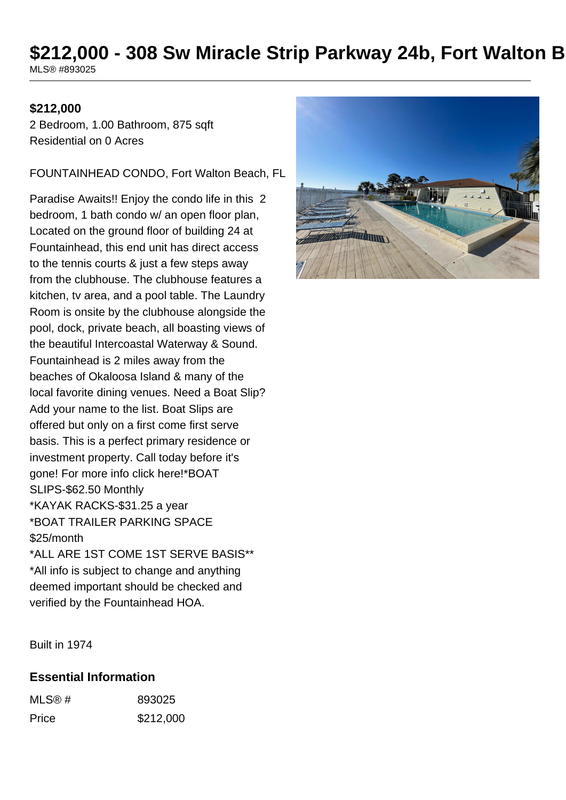# \$212,000 - 308 Sw Miracle Strip Parkway 24b, Fort Walton B

MLS® #893025

#### **\$212,000**

2 Bedroom, 1.00 Bathroom, 875 sqft Residential on 0 Acres

FOUNTAINHEAD CONDO, Fort Walton Beach, FL

Paradise Awaits!! Enjoy the condo life in this 2 bedroom, 1 bath condo w/ an open floor plan, Located on the ground floor of building 24 at Fountainhead, this end unit has direct access to the tennis courts & just a few steps away from the clubhouse. The clubhouse features a kitchen, tv area, and a pool table. The Laundry Room is onsite by the clubhouse alongside the pool, dock, private beach, all boasting views of the beautiful Intercoastal Waterway & Sound. Fountainhead is 2 miles away from the beaches of Okaloosa Island & many of the local favorite dining venues. Need a Boat Slip? Add your name to the list. Boat Slips are offered but only on a first come first serve basis. This is a perfect primary residence or investment property. Call today before it's gone! For more info click here!\*BOAT SLIPS-\$62.50 Monthly \*KAYAK RACKS-\$31.25 a year \*BOAT TRAILER PARKING SPACE \$25/month \*ALL ARE 1ST COME 1ST SERVE BASIS\*\* \*All info is subject to change and anything

deemed important should be checked and

verified by the Fountainhead HOA.

**HATTANYA** 

Built in 1974

#### **Essential Information**

| MLS@# | 893025    |
|-------|-----------|
| Price | \$212,000 |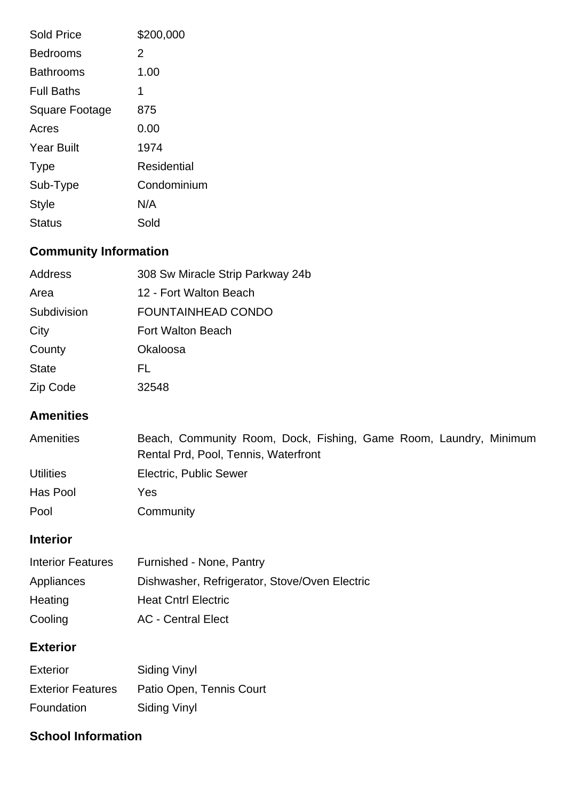| <b>Sold Price</b> | \$200,000   |
|-------------------|-------------|
| <b>Bedrooms</b>   | 2           |
| Bathrooms         | 1.00        |
| <b>Full Baths</b> | 1           |
| Square Footage    | 875         |
| Acres             | 0.00        |
| <b>Year Built</b> | 1974        |
| Type              | Residential |
| Sub-Type          | Condominium |
| <b>Style</b>      | N/A         |
| <b>Status</b>     | Sold        |

## **Community Information**

| Address      | 308 Sw Miracle Strip Parkway 24b |
|--------------|----------------------------------|
| Area         | 12 - Fort Walton Beach           |
| Subdivision  | <b>FOUNTAINHEAD CONDO</b>        |
| City         | Fort Walton Beach                |
| County       | Okaloosa                         |
| <b>State</b> | FL.                              |
| Zip Code     | 32548                            |

### **Amenities**

| <b>Amenities</b> | Beach, Community Room, Dock, Fishing, Game Room, Laundry, Minimum |
|------------------|-------------------------------------------------------------------|
|                  | Rental Prd, Pool, Tennis, Waterfront                              |
| <b>Utilities</b> | Electric, Public Sewer                                            |
| Has Pool         | Yes                                                               |
| Pool             | Community                                                         |

## **Interior**

| <b>Interior Features</b> | Furnished - None, Pantry                      |
|--------------------------|-----------------------------------------------|
| Appliances               | Dishwasher, Refrigerator, Stove/Oven Electric |
| Heating                  | <b>Heat Cntrl Electric</b>                    |
| Cooling                  | <b>AC</b> - Central Elect                     |

## **Exterior**

| <b>Exterior</b>          | Siding Vinyl             |
|--------------------------|--------------------------|
| <b>Exterior Features</b> | Patio Open, Tennis Court |
| Foundation               | Siding Vinyl             |

### **School Information**